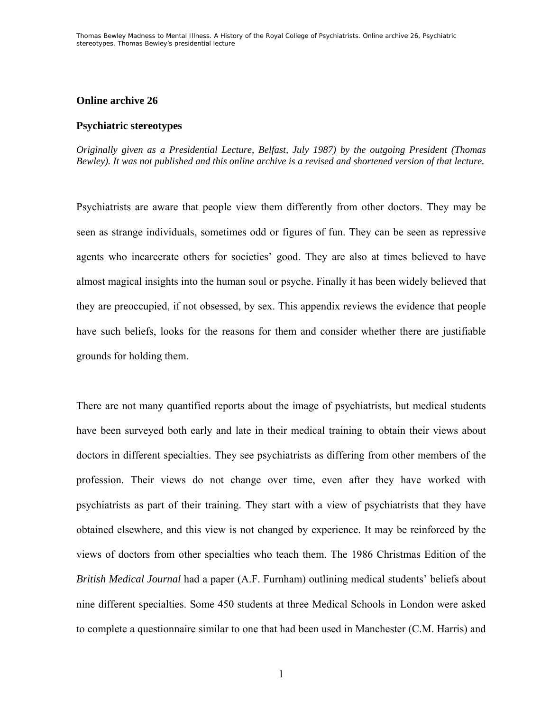## **Online archive 26**

#### **Psychiatric stereotypes**

*Originally given as a Presidential Lecture, Belfast, July 1987) by the outgoing President (Thomas Bewley). It was not published and this online archive is a revised and shortened version of that lecture.* 

Psychiatrists are aware that people view them differently from other doctors. They may be seen as strange individuals, sometimes odd or figures of fun. They can be seen as repressive agents who incarcerate others for societies' good. They are also at times believed to have almost magical insights into the human soul or psyche. Finally it has been widely believed that they are preoccupied, if not obsessed, by sex. This appendix reviews the evidence that people have such beliefs, looks for the reasons for them and consider whether there are justifiable grounds for holding them.

There are not many quantified reports about the image of psychiatrists, but medical students have been surveyed both early and late in their medical training to obtain their views about doctors in different specialties. They see psychiatrists as differing from other members of the profession. Their views do not change over time, even after they have worked with psychiatrists as part of their training. They start with a view of psychiatrists that they have obtained elsewhere, and this view is not changed by experience. It may be reinforced by the views of doctors from other specialties who teach them. The 1986 Christmas Edition of the *British Medical Journal* had a paper (A.F. Furnham) outlining medical students' beliefs about nine different specialties. Some 450 students at three Medical Schools in London were asked to complete a questionnaire similar to one that had been used in Manchester (C.M. Harris) and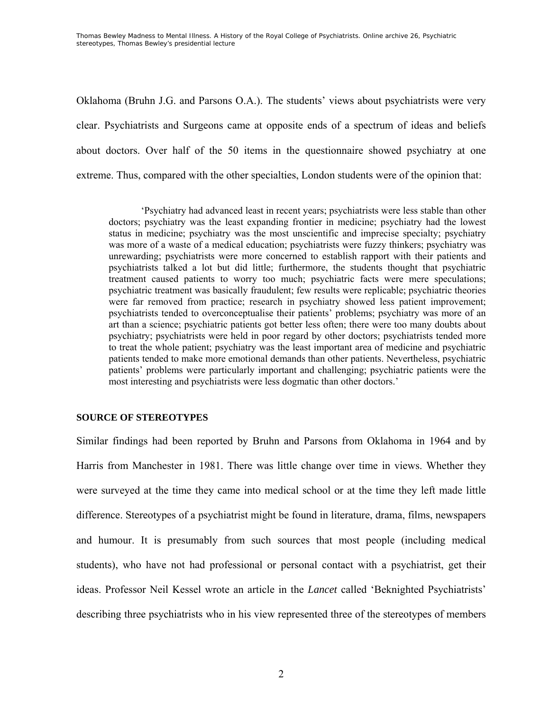Thomas Bewley *Madness to Mental Illness. A History of the Royal College of Psychiatrists*. Online archive 26, *Psychiatric stereotypes*, Thomas Bewley's presidential lecture

Oklahoma (Bruhn J.G. and Parsons O.A.). The students' views about psychiatrists were very clear. Psychiatrists and Surgeons came at opposite ends of a spectrum of ideas and beliefs about doctors. Over half of the 50 items in the questionnaire showed psychiatry at one extreme. Thus, compared with the other specialties, London students were of the opinion that:

'Psychiatry had advanced least in recent years; psychiatrists were less stable than other doctors; psychiatry was the least expanding frontier in medicine; psychiatry had the lowest status in medicine; psychiatry was the most unscientific and imprecise specialty; psychiatry was more of a waste of a medical education; psychiatrists were fuzzy thinkers; psychiatry was unrewarding; psychiatrists were more concerned to establish rapport with their patients and psychiatrists talked a lot but did little; furthermore, the students thought that psychiatric treatment caused patients to worry too much; psychiatric facts were mere speculations; psychiatric treatment was basically fraudulent; few results were replicable; psychiatric theories were far removed from practice; research in psychiatry showed less patient improvement; psychiatrists tended to overconceptualise their patients' problems; psychiatry was more of an art than a science; psychiatric patients got better less often; there were too many doubts about psychiatry; psychiatrists were held in poor regard by other doctors; psychiatrists tended more to treat the whole patient; psychiatry was the least important area of medicine and psychiatric patients tended to make more emotional demands than other patients. Nevertheless, psychiatric patients' problems were particularly important and challenging; psychiatric patients were the most interesting and psychiatrists were less dogmatic than other doctors.'

### **SOURCE OF STEREOTYPES**

Similar findings had been reported by Bruhn and Parsons from Oklahoma in 1964 and by Harris from Manchester in 1981. There was little change over time in views. Whether they were surveyed at the time they came into medical school or at the time they left made little difference. Stereotypes of a psychiatrist might be found in literature, drama, films, newspapers and humour. It is presumably from such sources that most people (including medical students), who have not had professional or personal contact with a psychiatrist, get their ideas. Professor Neil Kessel wrote an article in the *Lancet* called 'Beknighted Psychiatrists' describing three psychiatrists who in his view represented three of the stereotypes of members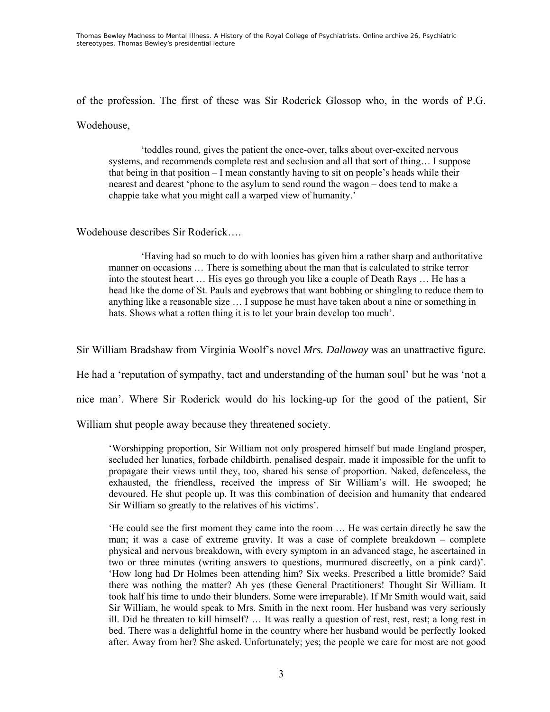Thomas Bewley *Madness to Mental Illness. A History of the Royal College of Psychiatrists*. Online archive 26, *Psychiatric stereotypes*, Thomas Bewley's presidential lecture

of the profession. The first of these was Sir Roderick Glossop who, in the words of P.G.

Wodehouse,

'toddles round, gives the patient the once-over, talks about over-excited nervous systems, and recommends complete rest and seclusion and all that sort of thing… I suppose that being in that position – I mean constantly having to sit on people's heads while their nearest and dearest 'phone to the asylum to send round the wagon – does tend to make a chappie take what you might call a warped view of humanity.'

Wodehouse describes Sir Roderick….

'Having had so much to do with loonies has given him a rather sharp and authoritative manner on occasions … There is something about the man that is calculated to strike terror into the stoutest heart … His eyes go through you like a couple of Death Rays … He has a head like the dome of St. Pauls and eyebrows that want bobbing or shingling to reduce them to anything like a reasonable size … I suppose he must have taken about a nine or something in hats. Shows what a rotten thing it is to let your brain develop too much'.

Sir William Bradshaw from Virginia Woolf's novel *Mrs. Dalloway* was an unattractive figure.

He had a 'reputation of sympathy, tact and understanding of the human soul' but he was 'not a

nice man'. Where Sir Roderick would do his locking-up for the good of the patient, Sir

William shut people away because they threatened society.

'Worshipping proportion, Sir William not only prospered himself but made England prosper, secluded her lunatics, forbade childbirth, penalised despair, made it impossible for the unfit to propagate their views until they, too, shared his sense of proportion. Naked, defenceless, the exhausted, the friendless, received the impress of Sir William's will. He swooped; he devoured. He shut people up. It was this combination of decision and humanity that endeared Sir William so greatly to the relatives of his victims'.

'He could see the first moment they came into the room … He was certain directly he saw the man; it was a case of extreme gravity. It was a case of complete breakdown – complete physical and nervous breakdown, with every symptom in an advanced stage, he ascertained in two or three minutes (writing answers to questions, murmured discreetly, on a pink card)'. 'How long had Dr Holmes been attending him? Six weeks. Prescribed a little bromide? Said there was nothing the matter? Ah yes (these General Practitioners! Thought Sir William. It took half his time to undo their blunders. Some were irreparable). If Mr Smith would wait, said Sir William, he would speak to Mrs. Smith in the next room. Her husband was very seriously ill. Did he threaten to kill himself? … It was really a question of rest, rest, rest; a long rest in bed. There was a delightful home in the country where her husband would be perfectly looked after. Away from her? She asked. Unfortunately; yes; the people we care for most are not good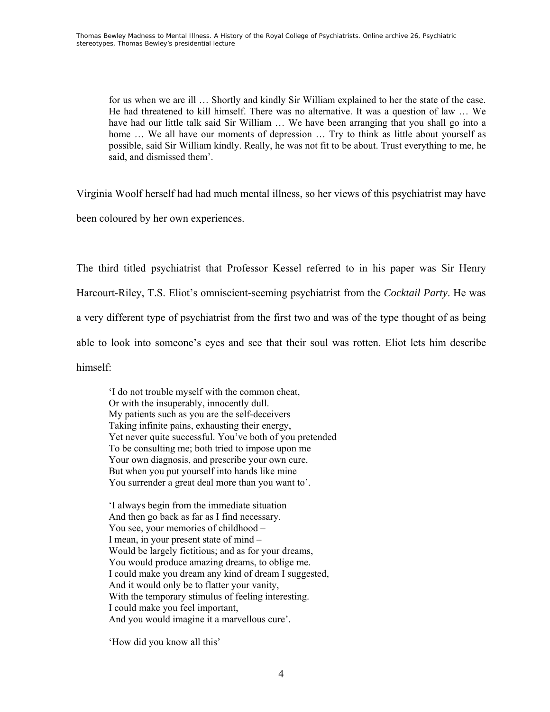for us when we are ill … Shortly and kindly Sir William explained to her the state of the case. He had threatened to kill himself. There was no alternative. It was a question of law … We have had our little talk said Sir William ... We have been arranging that you shall go into a home ... We all have our moments of depression ... Try to think as little about yourself as possible, said Sir William kindly. Really, he was not fit to be about. Trust everything to me, he said, and dismissed them'.

Virginia Woolf herself had had much mental illness, so her views of this psychiatrist may have

been coloured by her own experiences.

The third titled psychiatrist that Professor Kessel referred to in his paper was Sir Henry Harcourt-Riley, T.S. Eliot's omniscient-seeming psychiatrist from the *Cocktail Party*. He was a very different type of psychiatrist from the first two and was of the type thought of as being able to look into someone's eyes and see that their soul was rotten. Eliot lets him describe himself:

'I do not trouble myself with the common cheat, Or with the insuperably, innocently dull. My patients such as you are the self-deceivers Taking infinite pains, exhausting their energy, Yet never quite successful. You've both of you pretended To be consulting me; both tried to impose upon me Your own diagnosis, and prescribe your own cure. But when you put yourself into hands like mine You surrender a great deal more than you want to'.

 'I always begin from the immediate situation And then go back as far as I find necessary. You see, your memories of childhood – I mean, in your present state of mind – Would be largely fictitious; and as for your dreams, You would produce amazing dreams, to oblige me. I could make you dream any kind of dream I suggested, And it would only be to flatter your vanity, With the temporary stimulus of feeling interesting. I could make you feel important, And you would imagine it a marvellous cure'.

'How did you know all this'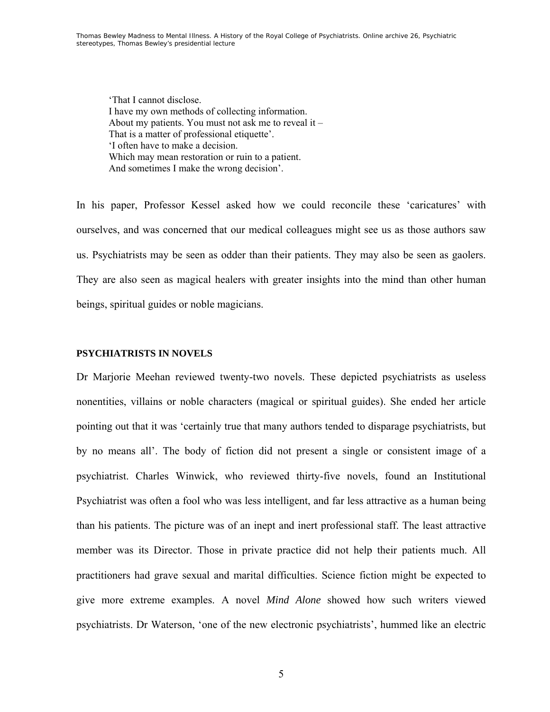'That I cannot disclose. I have my own methods of collecting information. About my patients. You must not ask me to reveal it – That is a matter of professional etiquette'. 'I often have to make a decision. Which may mean restoration or ruin to a patient. And sometimes I make the wrong decision'.

In his paper, Professor Kessel asked how we could reconcile these 'caricatures' with ourselves, and was concerned that our medical colleagues might see us as those authors saw us. Psychiatrists may be seen as odder than their patients. They may also be seen as gaolers. They are also seen as magical healers with greater insights into the mind than other human beings, spiritual guides or noble magicians.

### **PSYCHIATRISTS IN NOVELS**

Dr Marjorie Meehan reviewed twenty-two novels. These depicted psychiatrists as useless nonentities, villains or noble characters (magical or spiritual guides). She ended her article pointing out that it was 'certainly true that many authors tended to disparage psychiatrists, but by no means all'. The body of fiction did not present a single or consistent image of a psychiatrist. Charles Winwick, who reviewed thirty-five novels, found an Institutional Psychiatrist was often a fool who was less intelligent, and far less attractive as a human being than his patients. The picture was of an inept and inert professional staff. The least attractive member was its Director. Those in private practice did not help their patients much. All practitioners had grave sexual and marital difficulties. Science fiction might be expected to give more extreme examples. A novel *Mind Alone* showed how such writers viewed psychiatrists. Dr Waterson, 'one of the new electronic psychiatrists', hummed like an electric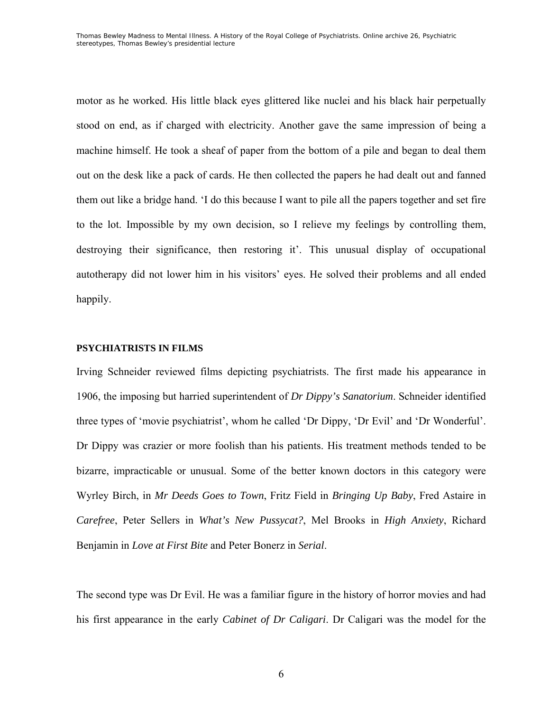motor as he worked. His little black eyes glittered like nuclei and his black hair perpetually stood on end, as if charged with electricity. Another gave the same impression of being a machine himself. He took a sheaf of paper from the bottom of a pile and began to deal them out on the desk like a pack of cards. He then collected the papers he had dealt out and fanned them out like a bridge hand. 'I do this because I want to pile all the papers together and set fire to the lot. Impossible by my own decision, so I relieve my feelings by controlling them, destroying their significance, then restoring it'. This unusual display of occupational autotherapy did not lower him in his visitors' eyes. He solved their problems and all ended happily.

# **PSYCHIATRISTS IN FILMS**

Irving Schneider reviewed films depicting psychiatrists. The first made his appearance in 1906, the imposing but harried superintendent of *Dr Dippy's Sanatorium*. Schneider identified three types of 'movie psychiatrist', whom he called 'Dr Dippy, 'Dr Evil' and 'Dr Wonderful'. Dr Dippy was crazier or more foolish than his patients. His treatment methods tended to be bizarre, impracticable or unusual. Some of the better known doctors in this category were Wyrley Birch, in *Mr Deeds Goes to Town*, Fritz Field in *Bringing Up Baby*, Fred Astaire in *Carefree*, Peter Sellers in *What's New Pussycat?*, Mel Brooks in *High Anxiety*, Richard Benjamin in *Love at First Bite* and Peter Bonerz in *Serial*.

The second type was Dr Evil. He was a familiar figure in the history of horror movies and had his first appearance in the early *Cabinet of Dr Caligari*. Dr Caligari was the model for the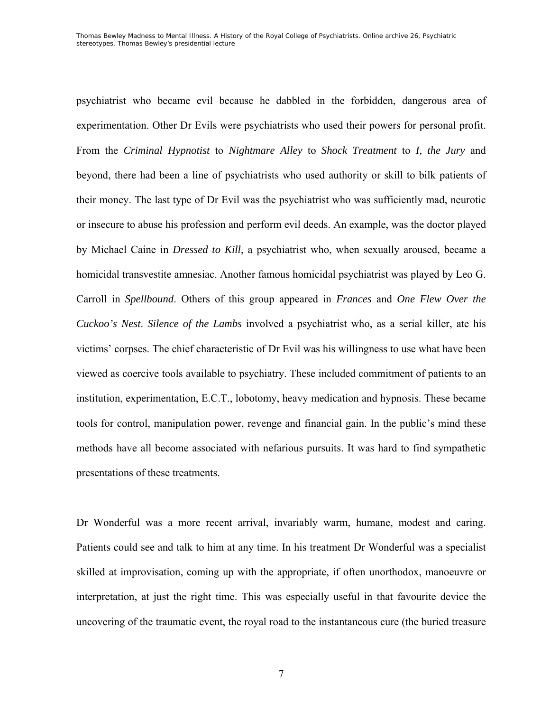psychiatrist who became evil because he dabbled in the forbidden, dangerous area of experimentation. Other Dr Evils were psychiatrists who used their powers for personal profit. From the *Criminal Hypnotist* to *Nightmare Alley* to *Shock Treatment* to *I, the Jury* and beyond, there had been a line of psychiatrists who used authority or skill to bilk patients of their money. The last type of Dr Evil was the psychiatrist who was sufficiently mad, neurotic or insecure to abuse his profession and perform evil deeds. An example, was the doctor played by Michael Caine in *Dressed to Kill*, a psychiatrist who, when sexually aroused, became a homicidal transvestite amnesiac. Another famous homicidal psychiatrist was played by Leo G. Carroll in *Spellbound*. Others of this group appeared in *Frances* and *One Flew Over the Cuckoo's Nest*. *Silence of the Lambs* involved a psychiatrist who, as a serial killer, ate his victims' corpses. The chief characteristic of Dr Evil was his willingness to use what have been viewed as coercive tools available to psychiatry. These included commitment of patients to an institution, experimentation, E.C.T., lobotomy, heavy medication and hypnosis. These became tools for control, manipulation power, revenge and financial gain. In the public's mind these methods have all become associated with nefarious pursuits. It was hard to find sympathetic presentations of these treatments.

Dr Wonderful was a more recent arrival, invariably warm, humane, modest and caring. Patients could see and talk to him at any time. In his treatment Dr Wonderful was a specialist skilled at improvisation, coming up with the appropriate, if often unorthodox, manoeuvre or interpretation, at just the right time. This was especially useful in that favourite device the uncovering of the traumatic event, the royal road to the instantaneous cure (the buried treasure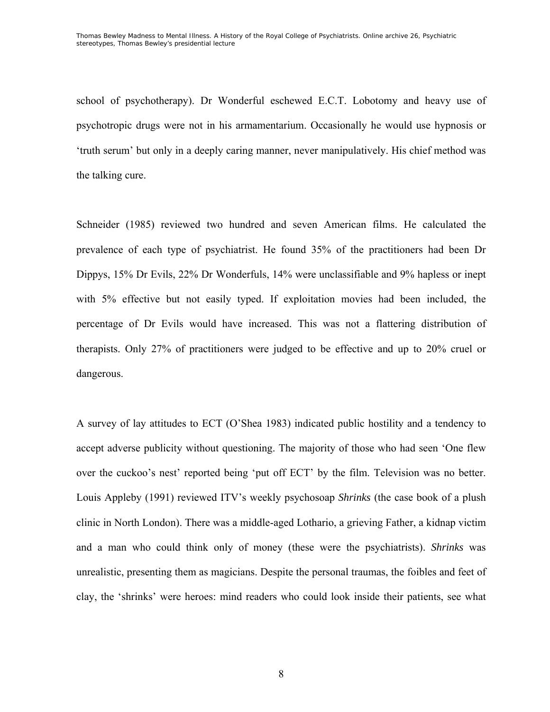school of psychotherapy). Dr Wonderful eschewed E.C.T. Lobotomy and heavy use of psychotropic drugs were not in his armamentarium. Occasionally he would use hypnosis or 'truth serum' but only in a deeply caring manner, never manipulatively. His chief method was the talking cure.

Schneider (1985) reviewed two hundred and seven American films. He calculated the prevalence of each type of psychiatrist. He found 35% of the practitioners had been Dr Dippys, 15% Dr Evils, 22% Dr Wonderfuls, 14% were unclassifiable and 9% hapless or inept with 5% effective but not easily typed. If exploitation movies had been included, the percentage of Dr Evils would have increased. This was not a flattering distribution of therapists. Only 27% of practitioners were judged to be effective and up to 20% cruel or dangerous.

A survey of lay attitudes to ECT (O'Shea 1983) indicated public hostility and a tendency to accept adverse publicity without questioning. The majority of those who had seen 'One flew over the cuckoo's nest' reported being 'put off ECT' by the film. Television was no better. Louis Appleby (1991) reviewed ITV's weekly psychosoap *Shrinks* (the case book of a plush clinic in North London). There was a middle-aged Lothario, a grieving Father, a kidnap victim and a man who could think only of money (these were the psychiatrists). *Shrinks* was unrealistic, presenting them as magicians. Despite the personal traumas, the foibles and feet of clay, the 'shrinks' were heroes: mind readers who could look inside their patients, see what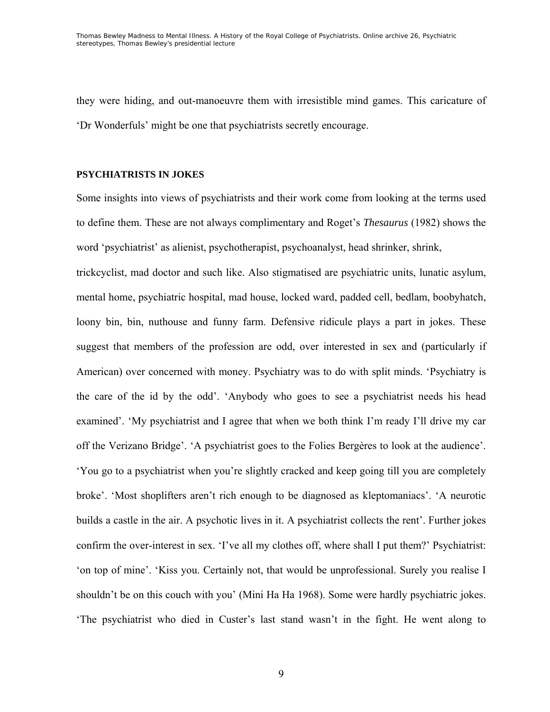they were hiding, and out-manoeuvre them with irresistible mind games. This caricature of 'Dr Wonderfuls' might be one that psychiatrists secretly encourage.

### **PSYCHIATRISTS IN JOKES**

Some insights into views of psychiatrists and their work come from looking at the terms used to define them. These are not always complimentary and Roget's *Thesaurus* (1982) shows the word 'psychiatrist' as alienist, psychotherapist, psychoanalyst, head shrinker, shrink,

trickcyclist, mad doctor and such like. Also stigmatised are psychiatric units, lunatic asylum, mental home, psychiatric hospital, mad house, locked ward, padded cell, bedlam, boobyhatch, loony bin, bin, nuthouse and funny farm. Defensive ridicule plays a part in jokes. These suggest that members of the profession are odd, over interested in sex and (particularly if American) over concerned with money. Psychiatry was to do with split minds. 'Psychiatry is the care of the id by the odd'. 'Anybody who goes to see a psychiatrist needs his head examined'. 'My psychiatrist and I agree that when we both think I'm ready I'll drive my car off the Verizano Bridge'. 'A psychiatrist goes to the Folies Bergères to look at the audience'. 'You go to a psychiatrist when you're slightly cracked and keep going till you are completely broke'. 'Most shoplifters aren't rich enough to be diagnosed as kleptomaniacs'. 'A neurotic builds a castle in the air. A psychotic lives in it. A psychiatrist collects the rent'. Further jokes confirm the over-interest in sex. 'I've all my clothes off, where shall I put them?' Psychiatrist: 'on top of mine'. 'Kiss you. Certainly not, that would be unprofessional. Surely you realise I shouldn't be on this couch with you' (Mini Ha Ha 1968). Some were hardly psychiatric jokes. 'The psychiatrist who died in Custer's last stand wasn't in the fight. He went along to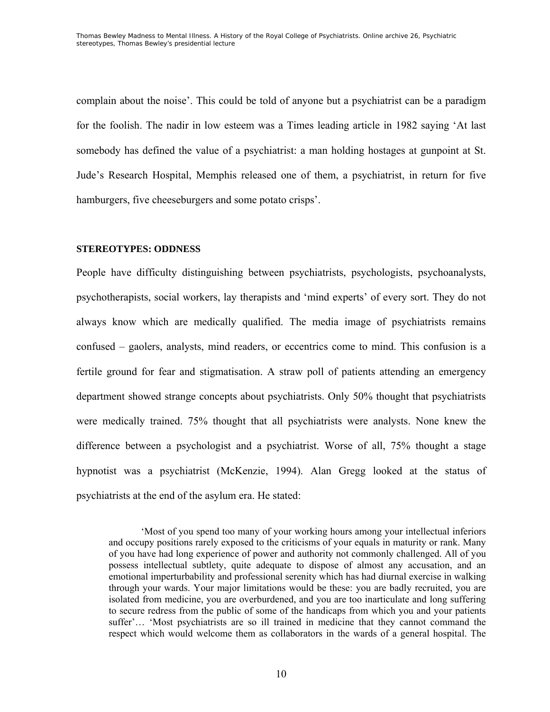complain about the noise'. This could be told of anyone but a psychiatrist can be a paradigm for the foolish. The nadir in low esteem was a Times leading article in 1982 saying 'At last somebody has defined the value of a psychiatrist: a man holding hostages at gunpoint at St. Jude's Research Hospital, Memphis released one of them, a psychiatrist, in return for five hamburgers, five cheeseburgers and some potato crisps'.

### **STEREOTYPES: ODDNESS**

People have difficulty distinguishing between psychiatrists, psychologists, psychoanalysts, psychotherapists, social workers, lay therapists and 'mind experts' of every sort. They do not always know which are medically qualified. The media image of psychiatrists remains confused – gaolers, analysts, mind readers, or eccentrics come to mind. This confusion is a fertile ground for fear and stigmatisation. A straw poll of patients attending an emergency department showed strange concepts about psychiatrists. Only 50% thought that psychiatrists were medically trained. 75% thought that all psychiatrists were analysts. None knew the difference between a psychologist and a psychiatrist. Worse of all, 75% thought a stage hypnotist was a psychiatrist (McKenzie, 1994). Alan Gregg looked at the status of psychiatrists at the end of the asylum era. He stated:

'Most of you spend too many of your working hours among your intellectual inferiors and occupy positions rarely exposed to the criticisms of your equals in maturity or rank. Many of you have had long experience of power and authority not commonly challenged. All of you possess intellectual subtlety, quite adequate to dispose of almost any accusation, and an emotional imperturbability and professional serenity which has had diurnal exercise in walking through your wards. Your major limitations would be these: you are badly recruited, you are isolated from medicine, you are overburdened, and you are too inarticulate and long suffering to secure redress from the public of some of the handicaps from which you and your patients suffer'… 'Most psychiatrists are so ill trained in medicine that they cannot command the respect which would welcome them as collaborators in the wards of a general hospital. The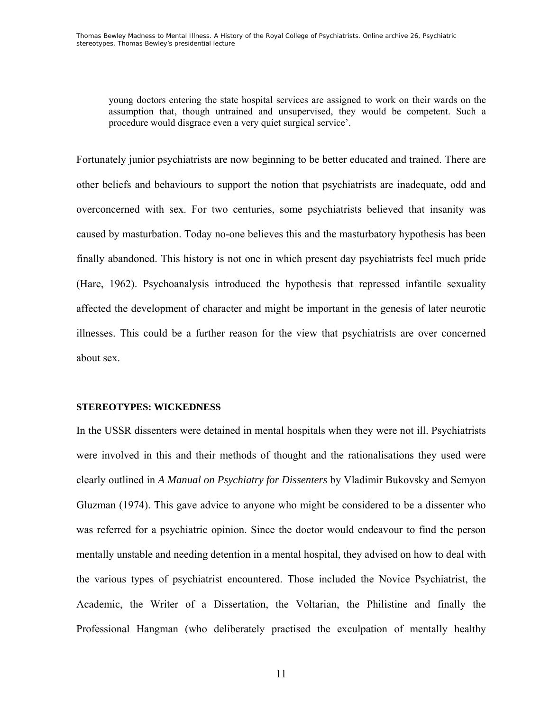young doctors entering the state hospital services are assigned to work on their wards on the assumption that, though untrained and unsupervised, they would be competent. Such a procedure would disgrace even a very quiet surgical service'.

Fortunately junior psychiatrists are now beginning to be better educated and trained. There are other beliefs and behaviours to support the notion that psychiatrists are inadequate, odd and overconcerned with sex. For two centuries, some psychiatrists believed that insanity was caused by masturbation. Today no-one believes this and the masturbatory hypothesis has been finally abandoned. This history is not one in which present day psychiatrists feel much pride (Hare, 1962). Psychoanalysis introduced the hypothesis that repressed infantile sexuality affected the development of character and might be important in the genesis of later neurotic illnesses. This could be a further reason for the view that psychiatrists are over concerned about sex.

### **STEREOTYPES: WICKEDNESS**

In the USSR dissenters were detained in mental hospitals when they were not ill. Psychiatrists were involved in this and their methods of thought and the rationalisations they used were clearly outlined in *A Manual on Psychiatry for Dissenters* by Vladimir Bukovsky and Semyon Gluzman (1974). This gave advice to anyone who might be considered to be a dissenter who was referred for a psychiatric opinion. Since the doctor would endeavour to find the person mentally unstable and needing detention in a mental hospital, they advised on how to deal with the various types of psychiatrist encountered. Those included the Novice Psychiatrist, the Academic, the Writer of a Dissertation, the Voltarian, the Philistine and finally the Professional Hangman (who deliberately practised the exculpation of mentally healthy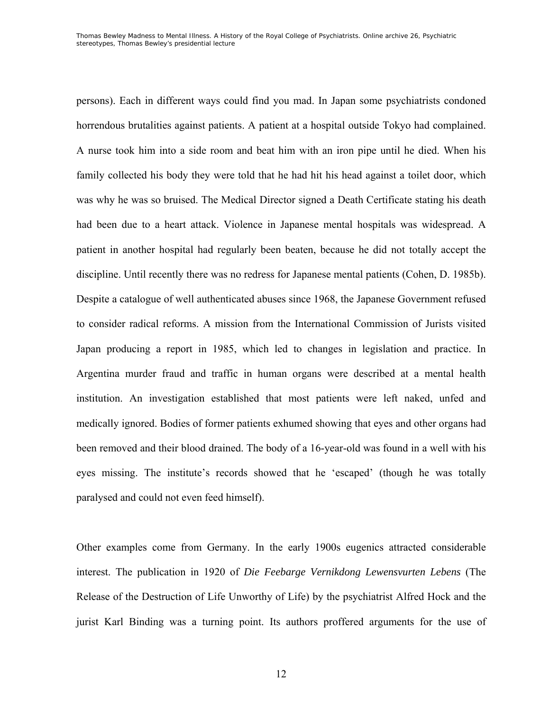persons). Each in different ways could find you mad. In Japan some psychiatrists condoned horrendous brutalities against patients. A patient at a hospital outside Tokyo had complained. A nurse took him into a side room and beat him with an iron pipe until he died. When his family collected his body they were told that he had hit his head against a toilet door, which was why he was so bruised. The Medical Director signed a Death Certificate stating his death had been due to a heart attack. Violence in Japanese mental hospitals was widespread. A patient in another hospital had regularly been beaten, because he did not totally accept the discipline. Until recently there was no redress for Japanese mental patients (Cohen, D. 1985b). Despite a catalogue of well authenticated abuses since 1968, the Japanese Government refused to consider radical reforms. A mission from the International Commission of Jurists visited Japan producing a report in 1985, which led to changes in legislation and practice. In Argentina murder fraud and traffic in human organs were described at a mental health institution. An investigation established that most patients were left naked, unfed and medically ignored. Bodies of former patients exhumed showing that eyes and other organs had been removed and their blood drained. The body of a 16-year-old was found in a well with his eyes missing. The institute's records showed that he 'escaped' (though he was totally paralysed and could not even feed himself).

Other examples come from Germany. In the early 1900s eugenics attracted considerable interest. The publication in 1920 of *Die Feebarge Vernikdong Lewensvurten Lebens* (The Release of the Destruction of Life Unworthy of Life) by the psychiatrist Alfred Hock and the jurist Karl Binding was a turning point. Its authors proffered arguments for the use of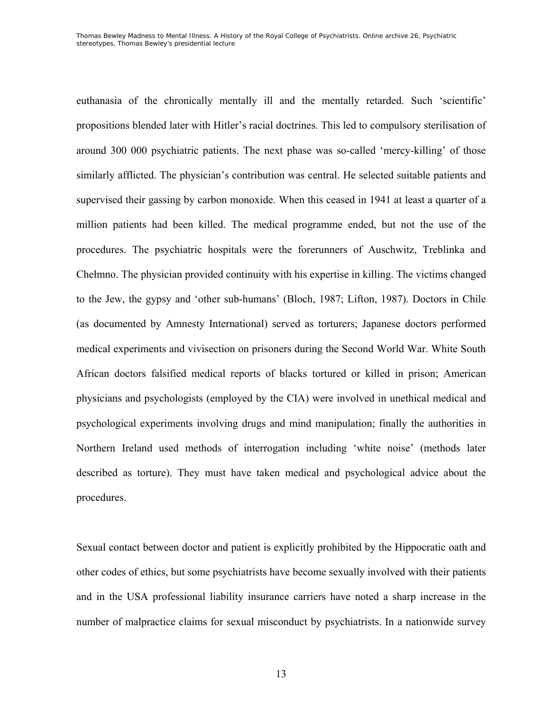euthanasia of the chronically mentally ill and the mentally retarded. Such 'scientific' propositions blended later with Hitler's racial doctrines. This led to compulsory sterilisation of around 300 000 psychiatric patients. The next phase was so-called 'mercy-killing' of those similarly afflicted. The physician's contribution was central. He selected suitable patients and supervised their gassing by carbon monoxide. When this ceased in 1941 at least a quarter of a million patients had been killed. The medical programme ended, but not the use of the procedures. The psychiatric hospitals were the forerunners of Auschwitz, Treblinka and Chełmno. The physician provided continuity with his expertise in killing. The victims changed to the Jew, the gypsy and 'other sub-humans' (Bloch, 1987; Lifton, 1987). Doctors in Chile (as documented by Amnesty International) served as torturers; Japanese doctors performed medical experiments and vivisection on prisoners during the Second World War. White South African doctors falsified medical reports of blacks tortured or killed in prison; American physicians and psychologists (employed by the CIA) were involved in unethical medical and psychological experiments involving drugs and mind manipulation; finally the authorities in Northern Ireland used methods of interrogation including 'white noise' (methods later described as torture). They must have taken medical and psychological advice about the procedures.

Sexual contact between doctor and patient is explicitly prohibited by the Hippocratic oath and other codes of ethics, but some psychiatrists have become sexually involved with their patients and in the USA professional liability insurance carriers have noted a sharp increase in the number of malpractice claims for sexual misconduct by psychiatrists. In a nationwide survey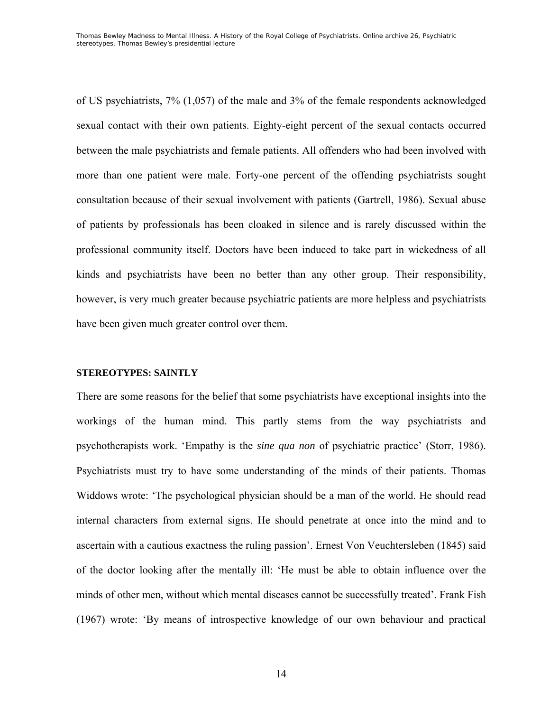of US psychiatrists, 7% (1,057) of the male and 3% of the female respondents acknowledged sexual contact with their own patients. Eighty-eight percent of the sexual contacts occurred between the male psychiatrists and female patients. All offenders who had been involved with more than one patient were male. Forty-one percent of the offending psychiatrists sought consultation because of their sexual involvement with patients (Gartrell, 1986). Sexual abuse of patients by professionals has been cloaked in silence and is rarely discussed within the professional community itself. Doctors have been induced to take part in wickedness of all kinds and psychiatrists have been no better than any other group. Their responsibility, however, is very much greater because psychiatric patients are more helpless and psychiatrists have been given much greater control over them.

#### **STEREOTYPES: SAINTLY**

There are some reasons for the belief that some psychiatrists have exceptional insights into the workings of the human mind. This partly stems from the way psychiatrists and psychotherapists work. 'Empathy is the *sine qua non* of psychiatric practice' (Storr, 1986). Psychiatrists must try to have some understanding of the minds of their patients. Thomas Widdows wrote: 'The psychological physician should be a man of the world. He should read internal characters from external signs. He should penetrate at once into the mind and to ascertain with a cautious exactness the ruling passion'. Ernest Von Veuchtersleben (1845) said of the doctor looking after the mentally ill: 'He must be able to obtain influence over the minds of other men, without which mental diseases cannot be successfully treated'. Frank Fish (1967) wrote: 'By means of introspective knowledge of our own behaviour and practical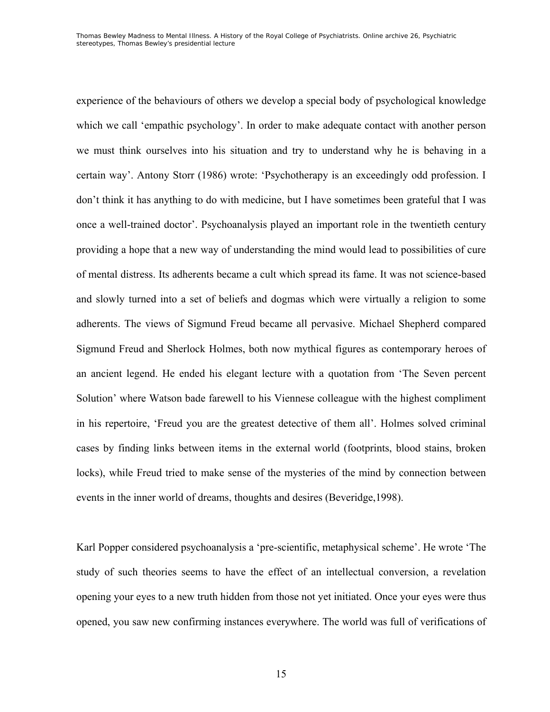experience of the behaviours of others we develop a special body of psychological knowledge which we call 'empathic psychology'. In order to make adequate contact with another person we must think ourselves into his situation and try to understand why he is behaving in a certain way'. Antony Storr (1986) wrote: 'Psychotherapy is an exceedingly odd profession. I don't think it has anything to do with medicine, but I have sometimes been grateful that I was once a well-trained doctor'. Psychoanalysis played an important role in the twentieth century providing a hope that a new way of understanding the mind would lead to possibilities of cure of mental distress. Its adherents became a cult which spread its fame. It was not science-based and slowly turned into a set of beliefs and dogmas which were virtually a religion to some adherents. The views of Sigmund Freud became all pervasive. Michael Shepherd compared Sigmund Freud and Sherlock Holmes, both now mythical figures as contemporary heroes of an ancient legend. He ended his elegant lecture with a quotation from 'The Seven percent Solution' where Watson bade farewell to his Viennese colleague with the highest compliment in his repertoire, 'Freud you are the greatest detective of them all'. Holmes solved criminal cases by finding links between items in the external world (footprints, blood stains, broken locks), while Freud tried to make sense of the mysteries of the mind by connection between events in the inner world of dreams, thoughts and desires (Beveridge,1998).

Karl Popper considered psychoanalysis a 'pre-scientific, metaphysical scheme'. He wrote 'The study of such theories seems to have the effect of an intellectual conversion, a revelation opening your eyes to a new truth hidden from those not yet initiated. Once your eyes were thus opened, you saw new confirming instances everywhere. The world was full of verifications of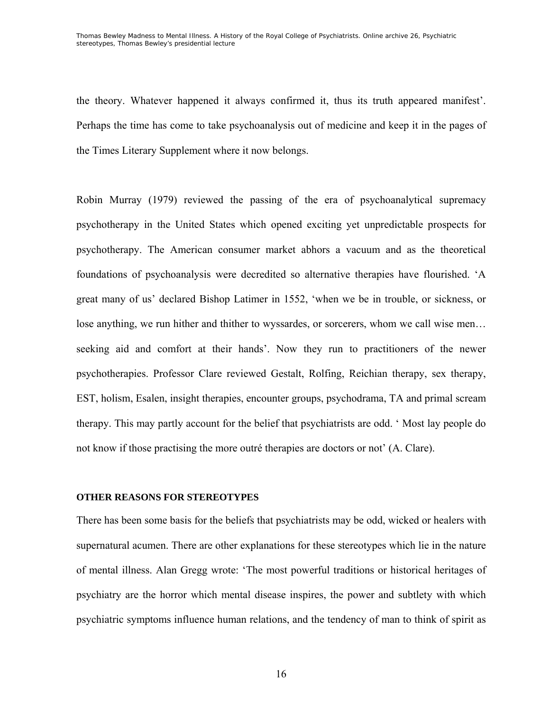the theory. Whatever happened it always confirmed it, thus its truth appeared manifest'. Perhaps the time has come to take psychoanalysis out of medicine and keep it in the pages of the Times Literary Supplement where it now belongs.

Robin Murray (1979) reviewed the passing of the era of psychoanalytical supremacy psychotherapy in the United States which opened exciting yet unpredictable prospects for psychotherapy. The American consumer market abhors a vacuum and as the theoretical foundations of psychoanalysis were decredited so alternative therapies have flourished. 'A great many of us' declared Bishop Latimer in 1552, 'when we be in trouble, or sickness, or lose anything, we run hither and thither to wyssardes, or sorcerers, whom we call wise men… seeking aid and comfort at their hands'. Now they run to practitioners of the newer psychotherapies. Professor Clare reviewed Gestalt, Rolfing, Reichian therapy, sex therapy, EST, holism, Esalen, insight therapies, encounter groups, psychodrama, TA and primal scream therapy. This may partly account for the belief that psychiatrists are odd. ' Most lay people do not know if those practising the more outré therapies are doctors or not' (A. Clare).

### **OTHER REASONS FOR STEREOTYPES**

There has been some basis for the beliefs that psychiatrists may be odd, wicked or healers with supernatural acumen. There are other explanations for these stereotypes which lie in the nature of mental illness. Alan Gregg wrote: 'The most powerful traditions or historical heritages of psychiatry are the horror which mental disease inspires, the power and subtlety with which psychiatric symptoms influence human relations, and the tendency of man to think of spirit as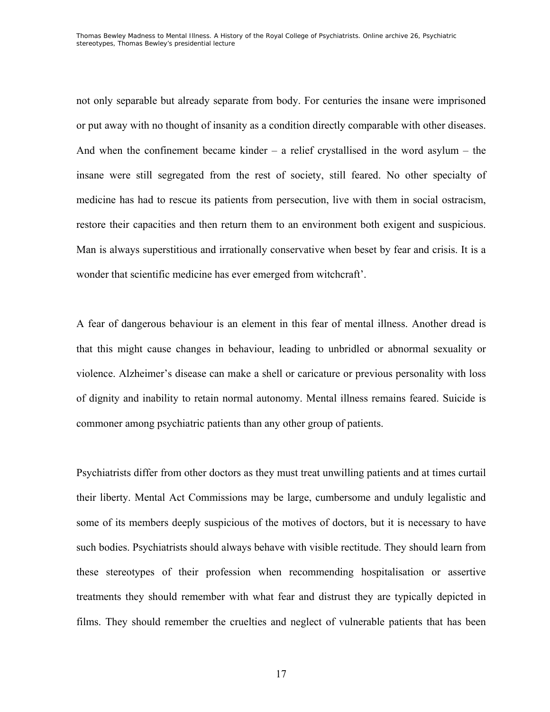not only separable but already separate from body. For centuries the insane were imprisoned or put away with no thought of insanity as a condition directly comparable with other diseases. And when the confinement became kinder  $-$  a relief crystallised in the word asylum  $-$  the insane were still segregated from the rest of society, still feared. No other specialty of medicine has had to rescue its patients from persecution, live with them in social ostracism, restore their capacities and then return them to an environment both exigent and suspicious. Man is always superstitious and irrationally conservative when beset by fear and crisis. It is a wonder that scientific medicine has ever emerged from witchcraft'.

A fear of dangerous behaviour is an element in this fear of mental illness. Another dread is that this might cause changes in behaviour, leading to unbridled or abnormal sexuality or violence. Alzheimer's disease can make a shell or caricature or previous personality with loss of dignity and inability to retain normal autonomy. Mental illness remains feared. Suicide is commoner among psychiatric patients than any other group of patients.

Psychiatrists differ from other doctors as they must treat unwilling patients and at times curtail their liberty. Mental Act Commissions may be large, cumbersome and unduly legalistic and some of its members deeply suspicious of the motives of doctors, but it is necessary to have such bodies. Psychiatrists should always behave with visible rectitude. They should learn from these stereotypes of their profession when recommending hospitalisation or assertive treatments they should remember with what fear and distrust they are typically depicted in films. They should remember the cruelties and neglect of vulnerable patients that has been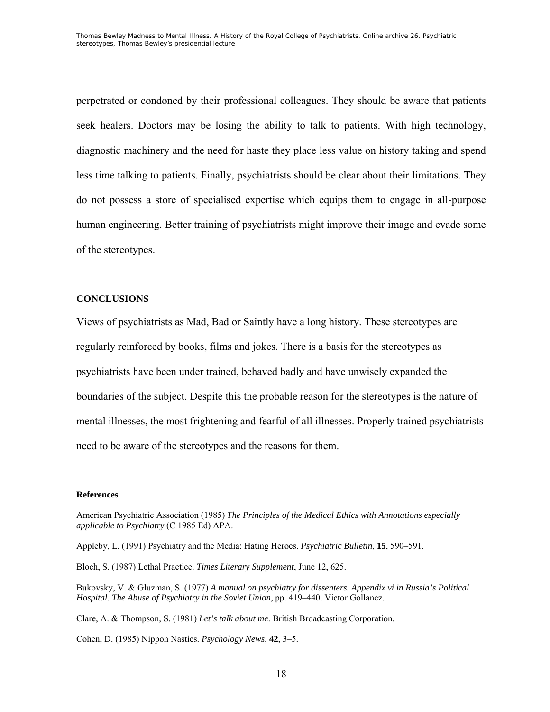perpetrated or condoned by their professional colleagues. They should be aware that patients seek healers. Doctors may be losing the ability to talk to patients. With high technology, diagnostic machinery and the need for haste they place less value on history taking and spend less time talking to patients. Finally, psychiatrists should be clear about their limitations. They do not possess a store of specialised expertise which equips them to engage in all-purpose human engineering. Better training of psychiatrists might improve their image and evade some of the stereotypes.

### **CONCLUSIONS**

Views of psychiatrists as Mad, Bad or Saintly have a long history. These stereotypes are regularly reinforced by books, films and jokes. There is a basis for the stereotypes as psychiatrists have been under trained, behaved badly and have unwisely expanded the boundaries of the subject. Despite this the probable reason for the stereotypes is the nature of mental illnesses, the most frightening and fearful of all illnesses. Properly trained psychiatrists need to be aware of the stereotypes and the reasons for them.

#### **References**

American Psychiatric Association (1985) *The Principles of the Medical Ethics with Annotations especially applicable to Psychiatry* (C 1985 Ed) APA.

Appleby, L. (1991) Psychiatry and the Media: Hating Heroes. *Psychiatric Bulletin*, **15**, 590–591.

Bloch, S. (1987) Lethal Practice. *Times Literary Supplement*, June 12, 625.

Bukovsky, V. & Gluzman, S. (1977) *A manual on psychiatry for dissenters. Appendix vi in Russia's Political Hospital. The Abuse of Psychiatry in the Soviet Union*, pp. 419–440. Victor Gollancz.

Clare, A. & Thompson, S. (1981) *Let's talk about me*. British Broadcasting Corporation.

Cohen, D. (1985) Nippon Nasties. *Psychology News*, **42**, 3–5.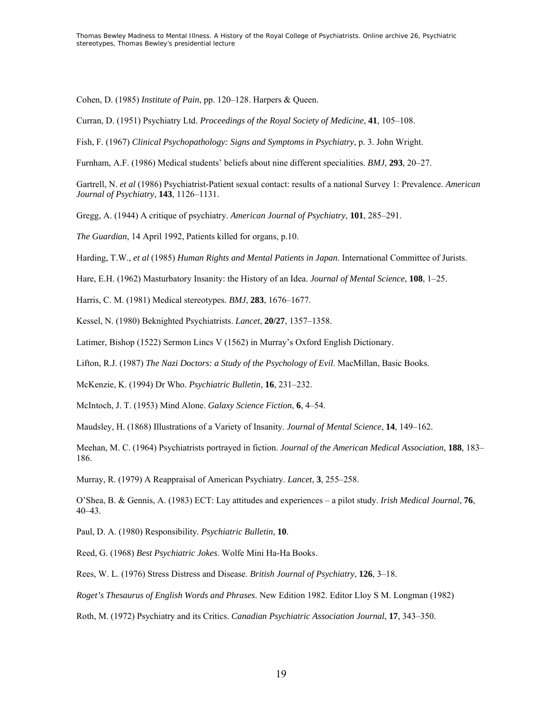Cohen, D. (1985) *Institute of Pain*, pp. 120–128. Harpers & Queen.

Curran, D. (1951) Psychiatry Ltd. *Proceedings of the Royal Society of Medicine*, **41**, 105–108.

Fish, F. (1967) *Clinical Psychopathology: Signs and Symptoms in Psychiatry*, p. 3. John Wright.

Furnham, A.F. (1986) Medical students' beliefs about nine different specialities. *BMJ*, **293**, 20–27.

Gartrell, N. *et al* (1986) Psychiatrist-Patient sexual contact: results of a national Survey 1: Prevalence. *American Journal of Psychiatry*, **143**, 1126–1131.

Gregg, A. (1944) A critique of psychiatry. *American Journal of Psychiatry*, **101**, 285–291.

*The Guardian*, 14 April 1992, Patients killed for organs, p.10.

Harding, T.W., *et al* (1985) *Human Rights and Mental Patients in Japan*. International Committee of Jurists.

Hare, E.H. (1962) Masturbatory Insanity: the History of an Idea. *Journal of Mental Science*, **108**, 1–25.

Harris, C. M. (1981) Medical stereotypes. *BMJ*, **283**, 1676–1677.

Kessel, N. (1980) Beknighted Psychiatrists. *Lancet*, **20/27**, 1357–1358.

Latimer, Bishop (1522) Sermon Lincs V (1562) in Murray's Oxford English Dictionary.

Lifton, R.J. (1987) *The Nazi Doctors: a Study of the Psychology of Evil*. MacMillan, Basic Books.

McKenzie, K. (1994) Dr Who. *Psychiatric Bulletin*, **16**, 231–232.

McIntoch, J. T. (1953) Mind Alone. *Galaxy Science Fiction*, **6**, 4–54.

Maudsley, H. (1868) Illustrations of a Variety of Insanity. *Journal of Mental Science*, **14**, 149–162.

Meehan, M. C. (1964) Psychiatrists portrayed in fiction. *Journal of the American Medical Association*, **188**, 183– 186.

Murray, R. (1979) A Reappraisal of American Psychiatry. *Lancet*, **3**, 255–258.

O'Shea, B. & Gennis, A. (1983) ECT: Lay attitudes and experiences – a pilot study. *Irish Medical Journal*, **76**, 40–43.

Paul, D. A. (1980) Responsibility. *Psychiatric Bulletin*, **10**.

Reed, G. (1968) *Best Psychiatric Jokes*. Wolfe Mini Ha-Ha Books.

Rees, W. L. (1976) Stress Distress and Disease. *British Journal of Psychiatry*, **126**, 3–18.

*Roget's Thesaurus of English Words and Phrases*. New Edition 1982. Editor Lloy S M. Longman (1982)

Roth, M. (1972) Psychiatry and its Critics. *Canadian Psychiatric Association Journal*, **17**, 343–350.